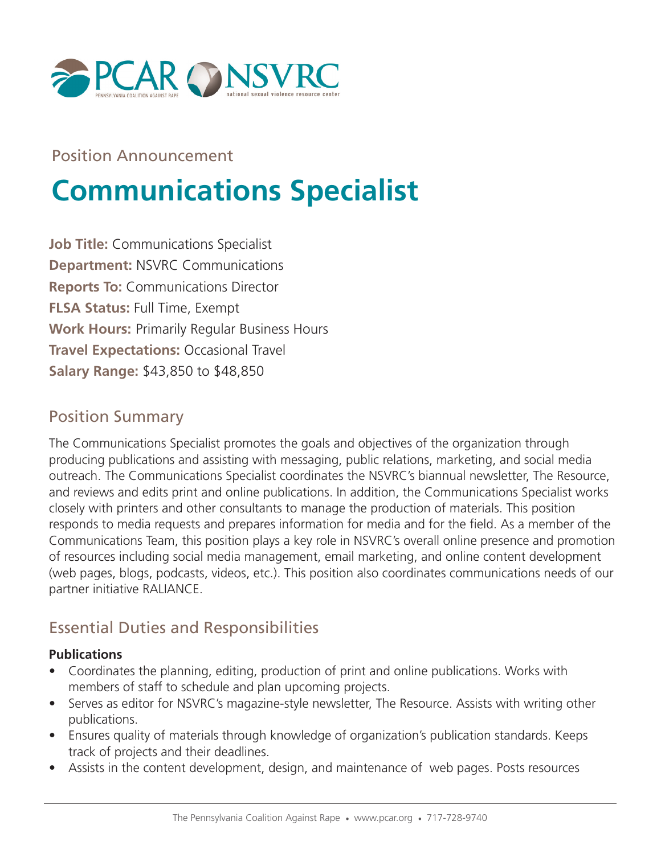

Position Announcement

# **Communications Specialist**

**Job Title:** Communications Specialist **Department:** NSVRC Communications **Reports To:** Communications Director **FLSA Status:** Full Time, Exempt **Work Hours:** Primarily Regular Business Hours **Travel Expectations:** Occasional Travel **Salary Range:** \$43,850 to \$48,850

#### Position Summary

The Communications Specialist promotes the goals and objectives of the organization through producing publications and assisting with messaging, public relations, marketing, and social media outreach. The Communications Specialist coordinates the NSVRC's biannual newsletter, The Resource, and reviews and edits print and online publications. In addition, the Communications Specialist works closely with printers and other consultants to manage the production of materials. This position responds to media requests and prepares information for media and for the field. As a member of the Communications Team, this position plays a key role in NSVRC's overall online presence and promotion of resources including social media management, email marketing, and online content development (web pages, blogs, podcasts, videos, etc.). This position also coordinates communications needs of our partner initiative RALIANCE.

# Essential Duties and Responsibilities

#### **Publications**

- Coordinates the planning, editing, production of print and online publications. Works with members of staff to schedule and plan upcoming projects.
- Serves as editor for NSVRC's magazine-style newsletter, The Resource. Assists with writing other publications.
- Ensures quality of materials through knowledge of organization's publication standards. Keeps track of projects and their deadlines.
- Assists in the content development, design, and maintenance of web pages. Posts resources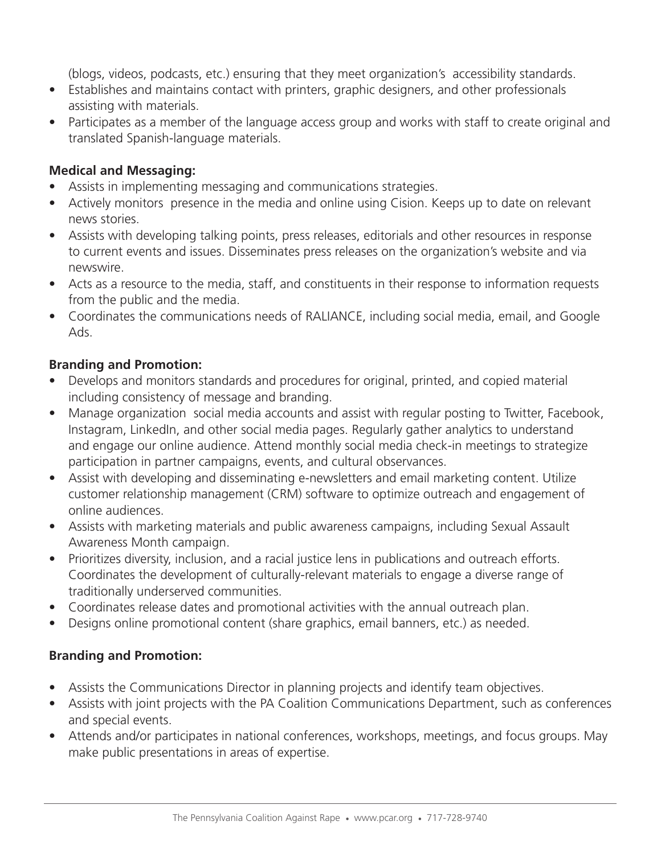(blogs, videos, podcasts, etc.) ensuring that they meet organization's accessibility standards.

- Establishes and maintains contact with printers, graphic designers, and other professionals assisting with materials.
- Participates as a member of the language access group and works with staff to create original and translated Spanish-language materials.

#### **Medical and Messaging:**

- Assists in implementing messaging and communications strategies.
- Actively monitors presence in the media and online using Cision. Keeps up to date on relevant news stories.
- Assists with developing talking points, press releases, editorials and other resources in response to current events and issues. Disseminates press releases on the organization's website and via newswire.
- Acts as a resource to the media, staff, and constituents in their response to information requests from the public and the media.
- Coordinates the communications needs of RALIANCE, including social media, email, and Google Ads.

#### **Branding and Promotion:**

- Develops and monitors standards and procedures for original, printed, and copied material including consistency of message and branding.
- Manage organization social media accounts and assist with regular posting to Twitter, Facebook, Instagram, LinkedIn, and other social media pages. Regularly gather analytics to understand and engage our online audience. Attend monthly social media check-in meetings to strategize participation in partner campaigns, events, and cultural observances.
- Assist with developing and disseminating e-newsletters and email marketing content. Utilize customer relationship management (CRM) software to optimize outreach and engagement of online audiences.
- Assists with marketing materials and public awareness campaigns, including Sexual Assault Awareness Month campaign.
- Prioritizes diversity, inclusion, and a racial justice lens in publications and outreach efforts. Coordinates the development of culturally-relevant materials to engage a diverse range of traditionally underserved communities.
- Coordinates release dates and promotional activities with the annual outreach plan.
- Designs online promotional content (share graphics, email banners, etc.) as needed.

#### **Branding and Promotion:**

- Assists the Communications Director in planning projects and identify team objectives.
- Assists with joint projects with the PA Coalition Communications Department, such as conferences and special events.
- Attends and/or participates in national conferences, workshops, meetings, and focus groups. May make public presentations in areas of expertise.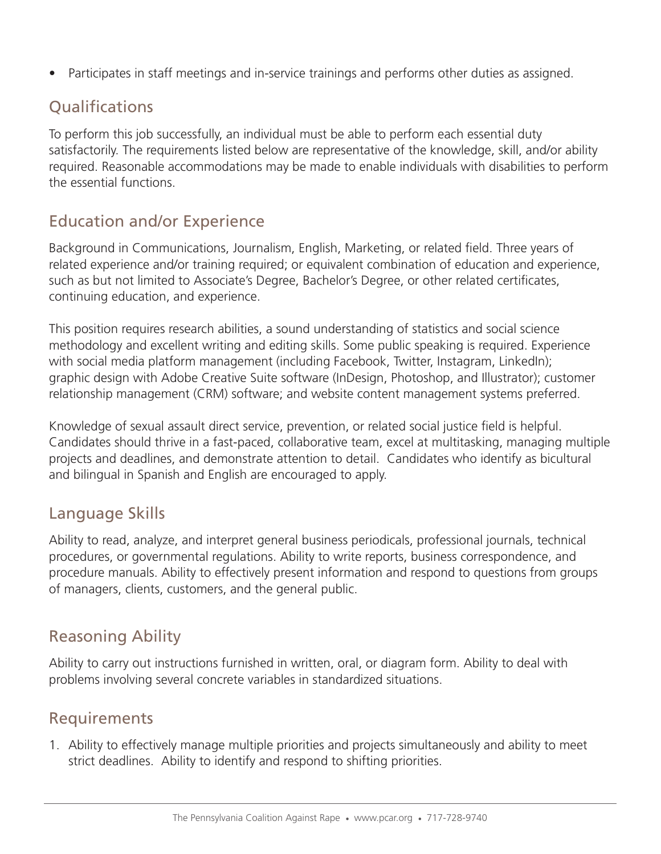• Participates in staff meetings and in-service trainings and performs other duties as assigned.

# **Oualifications**

To perform this job successfully, an individual must be able to perform each essential duty satisfactorily. The requirements listed below are representative of the knowledge, skill, and/or ability required. Reasonable accommodations may be made to enable individuals with disabilities to perform the essential functions.

# Education and/or Experience

Background in Communications, Journalism, English, Marketing, or related field. Three years of related experience and/or training required; or equivalent combination of education and experience, such as but not limited to Associate's Degree, Bachelor's Degree, or other related certificates, continuing education, and experience.

This position requires research abilities, a sound understanding of statistics and social science methodology and excellent writing and editing skills. Some public speaking is required. Experience with social media platform management (including Facebook, Twitter, Instagram, LinkedIn); graphic design with Adobe Creative Suite software (InDesign, Photoshop, and Illustrator); customer relationship management (CRM) software; and website content management systems preferred.

Knowledge of sexual assault direct service, prevention, or related social justice field is helpful. Candidates should thrive in a fast-paced, collaborative team, excel at multitasking, managing multiple projects and deadlines, and demonstrate attention to detail. Candidates who identify as bicultural and bilingual in Spanish and English are encouraged to apply.

## Language Skills

Ability to read, analyze, and interpret general business periodicals, professional journals, technical procedures, or governmental regulations. Ability to write reports, business correspondence, and procedure manuals. Ability to effectively present information and respond to questions from groups of managers, clients, customers, and the general public.

# Reasoning Ability

Ability to carry out instructions furnished in written, oral, or diagram form. Ability to deal with problems involving several concrete variables in standardized situations.

#### Requirements

1. Ability to effectively manage multiple priorities and projects simultaneously and ability to meet strict deadlines. Ability to identify and respond to shifting priorities.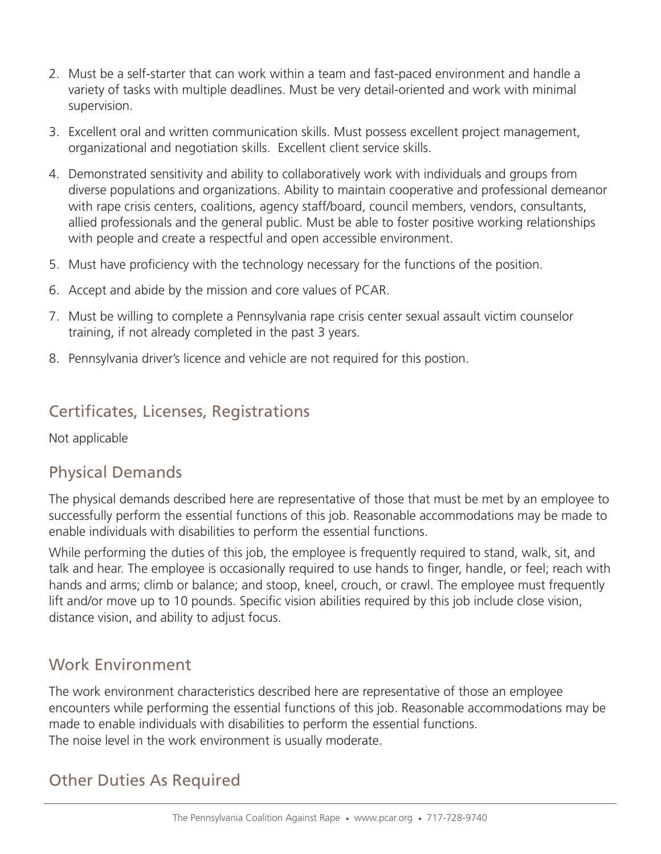- 2. Must be a self-starter that can work within a team and fast-paced environment and handle a variety of tasks with multiple deadlines. Must be very detail-oriented and work with minimal supervision.
- 3. Excellent oral and written communication skills. Must possess excellent project management, organizational and negotiation skills. Excellent client service skills.
- 4. Demonstrated sensitivity and ability to collaboratively work with individuals and groups from diverse populations and organizations. Ability to maintain cooperative and professional demeanor with rape crisis centers, coalitions, agency staff/board, council members, vendors, consultants, allied professionals and the general public. Must be able to foster positive working relationships with people and create a respectful and open accessible environment.
- 5. Must have proficiency with the technology necessary for the functions of the position.
- 6. Accept and abide by the mission and core values of PCAR.
- 7. Must be willing to complete a Pennsylvania rape crisis center sexual assault victim counselor training, if not already completed in the past 3 years.
- 8. Pennsylvania driver's licence and vehicle are not required for this postion.

## Certificates, Licenses, Registrations

Not applicable

#### Physical Demands

The physical demands described here are representative of those that must be met by an employee to successfully perform the essential functions of this job. Reasonable accommodations may be made to enable individuals with disabilities to perform the essential functions.

While performing the duties of this job, the employee is frequently required to stand, walk, sit, and talk and hear. The employee is occasionally required to use hands to finger, handle, or feel; reach with hands and arms; climb or balance; and stoop, kneel, crouch, or crawl. The employee must frequently lift and/or move up to 10 pounds. Specific vision abilities required by this job include close vision, distance vision, and ability to adjust focus.

#### Work Environment

The work environment characteristics described here are representative of those an employee encounters while performing the essential functions of this job. Reasonable accommodations may be made to enable individuals with disabilities to perform the essential functions. The noise level in the work environment is usually moderate.

#### Other Duties As Required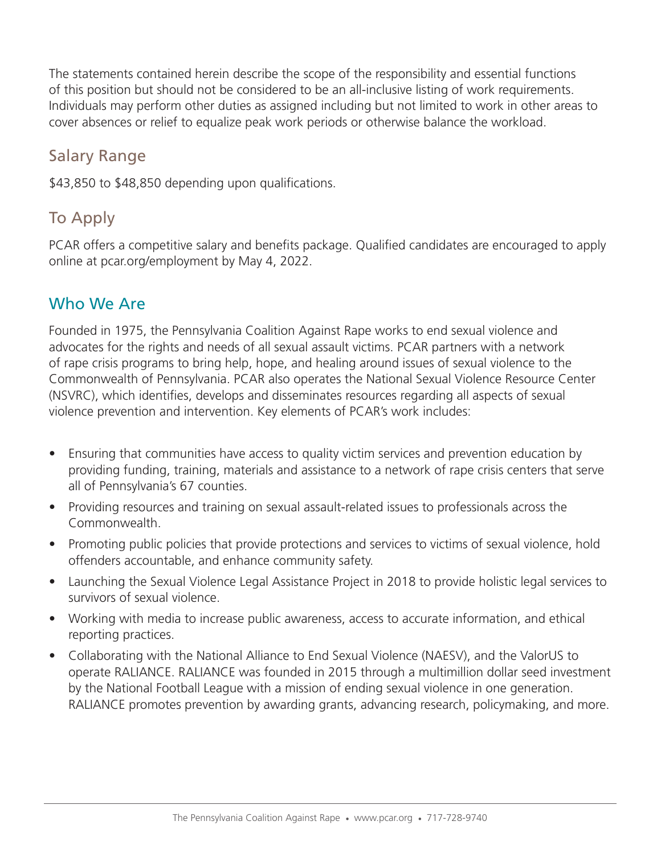The statements contained herein describe the scope of the responsibility and essential functions of this position but should not be considered to be an all-inclusive listing of work requirements. Individuals may perform other duties as assigned including but not limited to work in other areas to cover absences or relief to equalize peak work periods or otherwise balance the workload.

## Salary Range

\$43,850 to \$48,850 depending upon qualifications.

# To Apply

PCAR offers a competitive salary and benefits package. Qualified candidates are encouraged to apply online at pcar.org/employment by May 4, 2022.

## Who We Are

Founded in 1975, the Pennsylvania Coalition Against Rape works to end sexual violence and advocates for the rights and needs of all sexual assault victims. PCAR partners with a network of rape crisis programs to bring help, hope, and healing around issues of sexual violence to the Commonwealth of Pennsylvania. PCAR also operates the National Sexual Violence Resource Center (NSVRC), which identifies, develops and disseminates resources regarding all aspects of sexual violence prevention and intervention. Key elements of PCAR's work includes:

- Ensuring that communities have access to quality victim services and prevention education by providing funding, training, materials and assistance to a network of rape crisis centers that serve all of Pennsylvania's 67 counties.
- Providing resources and training on sexual assault-related issues to professionals across the Commonwealth.
- Promoting public policies that provide protections and services to victims of sexual violence, hold offenders accountable, and enhance community safety.
- Launching the Sexual Violence Legal Assistance Project in 2018 to provide holistic legal services to survivors of sexual violence.
- Working with media to increase public awareness, access to accurate information, and ethical reporting practices.
- Collaborating with the National Alliance to End Sexual Violence (NAESV), and the ValorUS to operate RALIANCE. RALIANCE was founded in 2015 through a multimillion dollar seed investment by the National Football League with a mission of ending sexual violence in one generation. RALIANCE promotes prevention by awarding grants, advancing research, policymaking, and more.